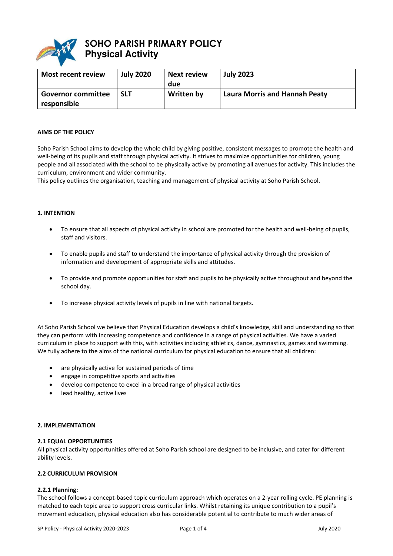

# **SOHO PARISH PRIMARY POLICY Physical Activity**

| <b>Most recent review</b>                | <b>July 2020</b> | <b>Next review</b><br>due | <b>July 2023</b>                     |
|------------------------------------------|------------------|---------------------------|--------------------------------------|
| <b>Governor committee</b><br>responsible | <b>SLT</b>       | Written by                | <b>Laura Morris and Hannah Peaty</b> |

#### **AIMS OF THE POLICY**

Soho Parish School aims to develop the whole child by giving positive, consistent messages to promote the health and well-being of its pupils and staff through physical activity. It strives to maximize opportunities for children, young people and all associated with the school to be physically active by promoting all avenues for activity. This includes the curriculum, environment and wider community.

This policy outlines the organisation, teaching and management of physical activity at Soho Parish School.

## **1. INTENTION**

- To ensure that all aspects of physical activity in school are promoted for the health and well-being of pupils, staff and visitors.
- To enable pupils and staff to understand the importance of physical activity through the provision of information and development of appropriate skills and attitudes.
- To provide and promote opportunities for staff and pupils to be physically active throughout and beyond the school day.
- To increase physical activity levels of pupils in line with national targets.

At Soho Parish School we believe that Physical Education develops a child's knowledge, skill and understanding so that they can perform with increasing competence and confidence in a range of physical activities. We have a varied curriculum in place to support with this, with activities including athletics, dance, gymnastics, games and swimming. We fully adhere to the aims of the national curriculum for physical education to ensure that all children:

- are physically active for sustained periods of time
- engage in competitive sports and activities
- develop competence to excel in a broad range of physical activities
- lead healthy, active lives

#### **2. IMPLEMENTATION**

#### **2.1 EQUAL OPPORTUNITIES**

All physical activity opportunities offered at Soho Parish school are designed to be inclusive, and cater for different ability levels.

# **2.2 CURRICULUM PROVISION**

#### **2.2.1 Planning:**

The school follows a concept-based topic curriculum approach which operates on a 2-year rolling cycle. PE planning is matched to each topic area to support cross curricular links. Whilst retaining its unique contribution to a pupil's movement education, physical education also has considerable potential to contribute to much wider areas of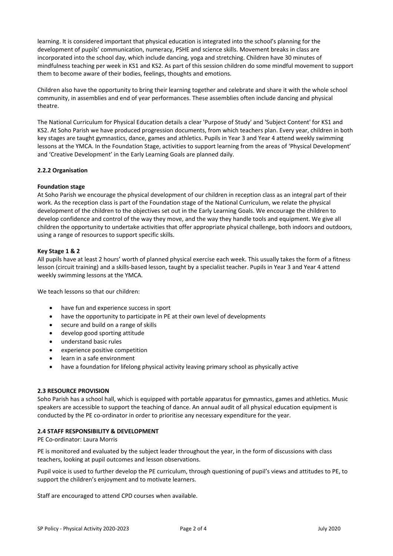learning. It is considered important that physical education is integrated into the school's planning for the development of pupils' communication, numeracy, PSHE and science skills. Movement breaks in class are incorporated into the school day, which include dancing, yoga and stretching. Children have 30 minutes of mindfulness teaching per week in KS1 and KS2. As part of this session children do some mindful movement to support them to become aware of their bodies, feelings, thoughts and emotions.

Children also have the opportunity to bring their learning together and celebrate and share it with the whole school community, in assemblies and end of year performances. These assemblies often include dancing and physical theatre.

The National Curriculum for Physical Education details a clear 'Purpose of Study' and 'Subject Content' for KS1 and KS2. At Soho Parish we have produced progression documents, from which teachers plan. Every year, children in both key stages are taught gymnastics, dance, games and athletics. Pupils in Year 3 and Year 4 attend weekly swimming lessons at the YMCA. In the Foundation Stage, activities to support learning from the areas of 'Physical Development' and 'Creative Development' in the Early Learning Goals are planned daily.

# **2.2.2 Organisation**

## **Foundation stage**

At Soho Parish we encourage the physical development of our children in reception class as an integral part of their work. As the reception class is part of the Foundation stage of the National Curriculum, we relate the physical development of the children to the objectives set out in the Early Learning Goals. We encourage the children to develop confidence and control of the way they move, and the way they handle tools and equipment. We give all children the opportunity to undertake activities that offer appropriate physical challenge, both indoors and outdoors, using a range of resources to support specific skills.

## **Key Stage 1 & 2**

All pupils have at least 2 hours' worth of planned physical exercise each week. This usually takes the form of a fitness lesson (circuit training) and a skills-based lesson, taught by a specialist teacher. Pupils in Year 3 and Year 4 attend weekly swimming lessons at the YMCA.

We teach lessons so that our children:

- have fun and experience success in sport
- have the opportunity to participate in PE at their own level of developments
- secure and build on a range of skills
- develop good sporting attitude
- understand basic rules
- experience positive competition
- learn in a safe environment
- have a foundation for lifelong physical activity leaving primary school as physically active

## **2.3 RESOURCE PROVISION**

Soho Parish has a school hall, which is equipped with portable apparatus for gymnastics, games and athletics. Music speakers are accessible to support the teaching of dance. An annual audit of all physical education equipment is conducted by the PE co-ordinator in order to prioritise any necessary expenditure for the year.

## **2.4 STAFF RESPONSIBILITY & DEVELOPMENT**

PE Co-ordinator: Laura Morris

PE is monitored and evaluated by the subject leader throughout the year, in the form of discussions with class teachers, looking at pupil outcomes and lesson observations.

Pupil voice is used to further develop the PE curriculum, through questioning of pupil's views and attitudes to PE, to support the children's enjoyment and to motivate learners.

Staff are encouraged to attend CPD courses when available.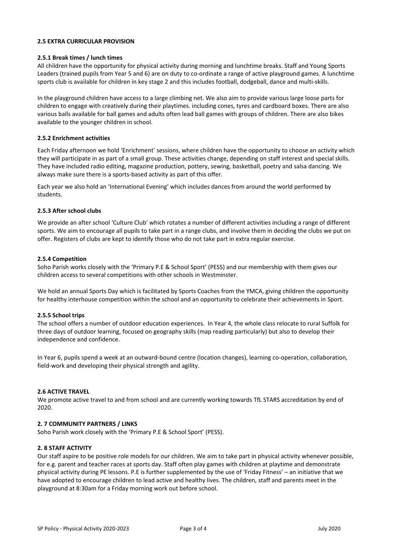### **2.5 EXTRA CURRICULAR PROVISION**

#### **2.5.1 Break times / lunch times**

All children have the opportunity for physical activity during morning and lunchtime breaks. Staff and Young Sports Leaders (trained pupils from Year 5 and 6) are on duty to co-ordinate a range of active playground games. A lunchtime sports club is available for children in key stage 2 and this includes football, dodgeball, dance and multi-skills.

In the playground children have access to a large climbing net. We also aim to provide various large loose parts for children to engage with creatively during their playtimes. including cones, tyres and cardboard boxes. There are also various balls available for ball games and adults often lead ball games with groups of children. There are also bikes available to the younger children in school.

#### **2.5.2 Enrichment activities**

Each Friday afternoon we hold 'Enrichment' sessions, where children have the opportunity to choose an activity which they will participate in as part of a small group. These activities change, depending on staff interest and special skills. They have included radio editing, magazine production, pottery, sewing, basketball, poetry and salsa dancing. We always make sure there is a sports-based activity as part of this offer.

Each year we also hold an 'International Evening' which includes dances from around the world performed by students.

#### **2.5.3 After school clubs**

We provide an after school 'Culture Club' which rotates a number of different activities including a range of different sports. We aim to encourage all pupils to take part in a range clubs, and involve them in deciding the clubs we put on offer. Registers of clubs are kept to identify those who do not take part in extra regular exercise.

#### **2.5.4 Competition**

Soho Parish works closely with the 'Primary P.E & School Sport' (PESS) and our membership with them gives our children access to several competitions with other schools in Westminster.

We hold an annual Sports Day which is facilitated by Sports Coaches from the YMCA, giving children the opportunity for healthy interhouse competition within the school and an opportunity to celebrate their achievements in Sport.

## **2.5.5 School trips**

The school offers a number of outdoor education experiences. In Year 4, the whole class relocate to rural Suffolk for three days of outdoor learning, focused on geography skills (map reading particularly) but also to develop their independence and confidence.

In Year 6, pupils spend a week at an outward-bound centre (location changes), learning co-operation, collaboration, field-work and developing their physical strength and agility.

#### **2.6 ACTIVE TRAVEL**

We promote active travel to and from school and are currently working towards TfL STARS accreditation by end of 2020.

#### **2. 7 COMMUNITY PARTNERS / LINKS**

Soho Parish work closely with the 'Primary P.E & School Sport' (PESS).

#### **2. 8 STAFF ACTIVITY**

Our staff aspire to be positive role models for our children. We aim to take part in physical activity whenever possible, for e.g. parent and teacher races at sports day. Staff often play games with children at playtime and demonstrate physical activity during PE lessons. P.E is further supplemented by the use of 'Friday Fitness' – an initiative that we have adopted to encourage children to lead active and healthy lives. The children, staff and parents meet in the playground at 8:30am for a Friday morning work out before school.